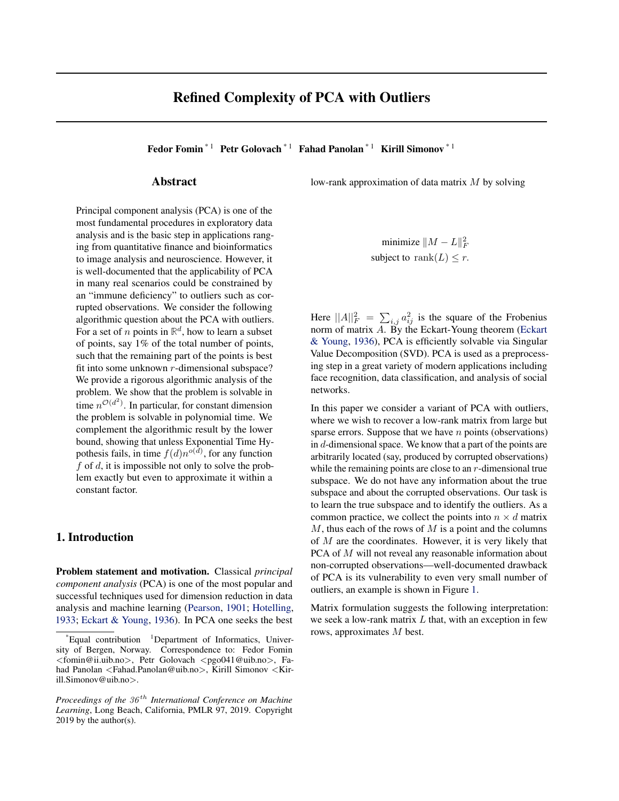# Refined Complexity of PCA with Outliers

Fedor Fomin<sup>\*1</sup> Petr Golovach<sup>\*1</sup> Fahad Panolan<sup>\*1</sup> Kirill Simonov<sup>\*1</sup>

### Abstract

Principal component analysis (PCA) is one of the most fundamental procedures in exploratory data analysis and is the basic step in applications ranging from quantitative finance and bioinformatics to image analysis and neuroscience. However, it is well-documented that the applicability of PCA in many real scenarios could be constrained by an "immune deficiency" to outliers such as corrupted observations. We consider the following algorithmic question about the PCA with outliers. For a set of *n* points in  $\mathbb{R}^d$ , how to learn a subset of points, say 1% of the total number of points, such that the remaining part of the points is best fit into some unknown  $r$ -dimensional subspace? We provide a rigorous algorithmic analysis of the problem. We show that the problem is solvable in time  $n^{\mathcal{O}(d^2)}$ . In particular, for constant dimension the problem is solvable in polynomial time. We complement the algorithmic result by the lower bound, showing that unless Exponential Time Hypothesis fails, in time  $f(d)n^{o(d)}$ , for any function  $f$  of  $d$ , it is impossible not only to solve the problem exactly but even to approximate it within a constant factor.

# 1. Introduction

Problem statement and motivation. Classical *principal component analysis* (PCA) is one of the most popular and successful techniques used for dimension reduction in data analysis and machine learning [\(Pearson,](#page-8-0) [1901;](#page-8-0) [Hotelling,](#page-8-0) [1933;](#page-8-0) [Eckart & Young,](#page-8-0) [1936\)](#page-8-0). In PCA one seeks the best

low-rank approximation of data matrix  $M$  by solving

minimize  $\|M - L\|_F^2$ subject to rank $(L) \leq r$ .

Here  $||A||_F^2 = \sum_{i,j} a_{ij}^2$  is the square of the Frobenius norm of matrix  $\overrightarrow{A}$ . By the Eckart-Young theorem [\(Eckart](#page-8-0) [& Young,](#page-8-0) [1936\)](#page-8-0), PCA is efficiently solvable via Singular Value Decomposition (SVD). PCA is used as a preprocessing step in a great variety of modern applications including face recognition, data classification, and analysis of social networks.

In this paper we consider a variant of PCA with outliers, where we wish to recover a low-rank matrix from large but sparse errors. Suppose that we have  $n$  points (observations) in d-dimensional space. We know that a part of the points are arbitrarily located (say, produced by corrupted observations) while the remaining points are close to an  $r$ -dimensional true subspace. We do not have any information about the true subspace and about the corrupted observations. Our task is to learn the true subspace and to identify the outliers. As a common practice, we collect the points into  $n \times d$  matrix  $M$ , thus each of the rows of  $M$  is a point and the columns of M are the coordinates. However, it is very likely that PCA of M will not reveal any reasonable information about non-corrupted observations—well-documented drawback of PCA is its vulnerability to even very small number of outliers, an example is shown in Figure [1.](#page-1-0)

Matrix formulation suggests the following interpretation: we seek a low-rank matrix  $L$  that, with an exception in few rows, approximates M best.

 $E$ qual contribution <sup>1</sup>Department of Informatics, University of Bergen, Norway. Correspondence to: Fedor Fomin <fomin@ii.uib.no>, Petr Golovach <pgo041@uib.no>, Fahad Panolan <Fahad.Panolan@uib.no>, Kirill Simonov <Kirill.Simonov@uib.no>.

*Proceedings of the 36<sup>th</sup> International Conference on Machine Learning*, Long Beach, California, PMLR 97, 2019. Copyright 2019 by the author(s).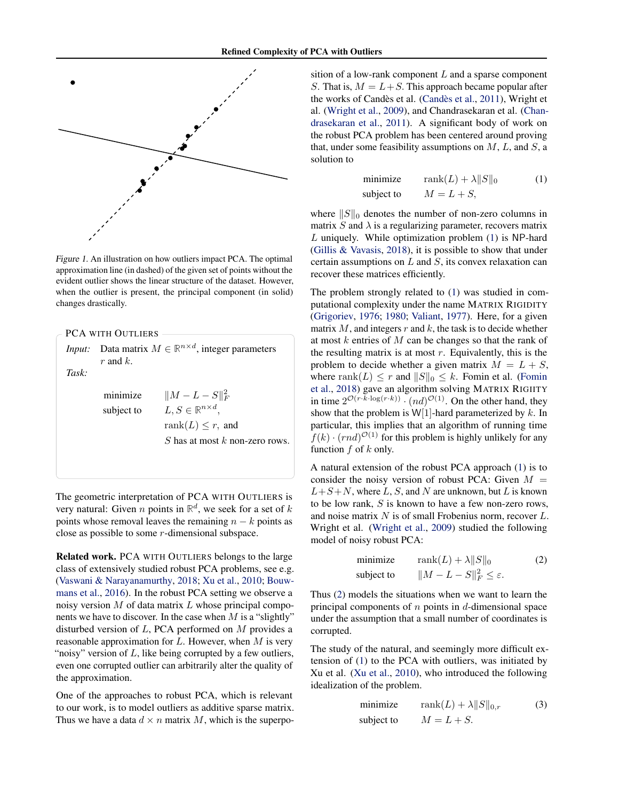<span id="page-1-0"></span>

Figure 1. An illustration on how outliers impact PCA. The optimal approximation line (in dashed) of the given set of points without the evident outlier shows the linear structure of the dataset. However, when the outlier is present, the principal component (in solid) changes drastically.

|        | <b>PCA WITH OUTLIERS</b> |                                                                  |
|--------|--------------------------|------------------------------------------------------------------|
|        |                          |                                                                  |
| Input: |                          | Data matrix $M \in \mathbb{R}^{n \times d}$ , integer parameters |
|        | r and $k$ .              |                                                                  |
| Task:  |                          |                                                                  |
|        | minimize                 | $  M - L - S  _F^2$                                              |
|        | subject to               | $L, S \in \mathbb{R}^{n \times d},$                              |
|        |                          | rank $(L) \leq r$ , and                                          |
|        |                          | S has at most k non-zero rows.                                   |
|        |                          |                                                                  |
|        |                          |                                                                  |

The geometric interpretation of PCA WITH OUTLIERS is very natural: Given *n* points in  $\mathbb{R}^d$ , we seek for a set of *k* points whose removal leaves the remaining  $n - k$  points as close as possible to some r-dimensional subspace.

Related work. PCA WITH OUTLIERS belongs to the large class of extensively studied robust PCA problems, see e.g. [\(Vaswani & Narayanamurthy,](#page-8-0) [2018;](#page-8-0) [Xu et al.,](#page-9-0) [2010;](#page-9-0) [Bouw](#page-8-0)[mans et al.,](#page-8-0) [2016\)](#page-8-0). In the robust PCA setting we observe a noisy version  $M$  of data matrix  $L$  whose principal components we have to discover. In the case when  $M$  is a "slightly" disturbed version of  $L$ , PCA performed on  $M$  provides a reasonable approximation for  $L$ . However, when  $M$  is very "noisy" version of  $L$ , like being corrupted by a few outliers, even one corrupted outlier can arbitrarily alter the quality of the approximation.

One of the approaches to robust PCA, which is relevant to our work, is to model outliers as additive sparse matrix. Thus we have a data  $d \times n$  matrix M, which is the superposition of a low-rank component  $L$  and a sparse component S. That is,  $M = L + S$ . This approach became popular after the works of Candès et al. (Candès et al., [2011\)](#page-8-0), Wright et al. [\(Wright et al.,](#page-8-0) [2009\)](#page-8-0), and Chandrasekaran et al. [\(Chan](#page-8-0)[drasekaran et al.,](#page-8-0) [2011\)](#page-8-0). A significant body of work on the robust PCA problem has been centered around proving that, under some feasibility assumptions on  $M$ ,  $L$ , and  $S$ , a solution to

minimize 
$$
\text{rank}(L) + \lambda ||S||_0
$$
 (1)  
subject to  $M = L + S$ ,

where  $||S||_0$  denotes the number of non-zero columns in matrix  $S$  and  $\lambda$  is a regularizing parameter, recovers matrix  $L$  uniquely. While optimization problem  $(1)$  is NP-hard [\(Gillis & Vavasis,](#page-8-0) [2018\)](#page-8-0), it is possible to show that under certain assumptions on  $L$  and  $S$ , its convex relaxation can recover these matrices efficiently.

The problem strongly related to (1) was studied in computational complexity under the name MATRIX RIGIDITY [\(Grigoriev,](#page-8-0) [1976;](#page-8-0) [1980;](#page-8-0) [Valiant,](#page-8-0) [1977\)](#page-8-0). Here, for a given matrix  $M$ , and integers  $r$  and  $k$ , the task is to decide whether at most  $k$  entries of  $M$  can be changes so that the rank of the resulting matrix is at most  $r$ . Equivalently, this is the problem to decide whether a given matrix  $M = L + S$ , where rank $(L) \leq r$  and  $||S||_0 \leq k$ . Fomin et al. [\(Fomin](#page-8-0) [et al.,](#page-8-0) [2018\)](#page-8-0) gave an algorithm solving MATRIX RIGIITY in time  $2^{\mathcal{O}(r \cdot k \cdot \log(r \cdot k))} \cdot (nd)^{\mathcal{O}(1)}$ . On the other hand, they show that the problem is  $W[1]$ -hard parameterized by k. In particular, this implies that an algorithm of running time  $f(k) \cdot (rnd)^{\mathcal{O}(1)}$  for this problem is highly unlikely for any function  $f$  of  $k$  only.

A natural extension of the robust PCA approach (1) is to consider the noisy version of robust PCA: Given  $M =$  $L+S+N$ , where L, S, and N are unknown, but L is known to be low rank, S is known to have a few non-zero rows, and noise matrix  $N$  is of small Frobenius norm, recover  $L$ . Wright et al. [\(Wright et al.,](#page-8-0) [2009\)](#page-8-0) studied the following model of noisy robust PCA:

minimize 
$$
\text{rank}(L) + \lambda ||S||_0
$$
 (2)  
subject to  $||M - L - S||_F^2 \le \varepsilon$ .

Thus (2) models the situations when we want to learn the principal components of  $n$  points in  $d$ -dimensional space under the assumption that a small number of coordinates is corrupted.

The study of the natural, and seemingly more difficult extension of (1) to the PCA with outliers, was initiated by Xu et al. [\(Xu et al.,](#page-9-0) [2010\)](#page-9-0), who introduced the following idealization of the problem.

minimize 
$$
\text{rank}(L) + \lambda ||S||_{0,r}
$$
 (3)  
subject to  $M = L + S$ .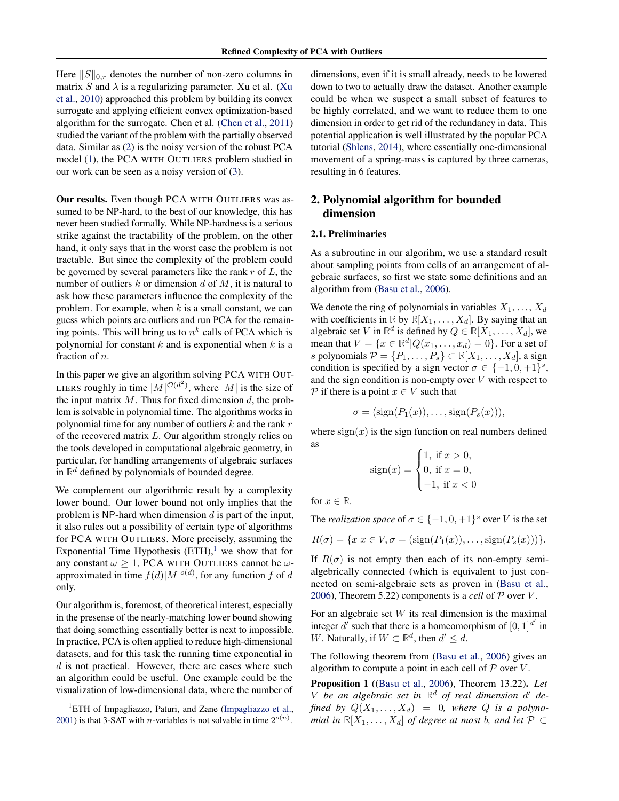<span id="page-2-0"></span>Here  $||S||_{0,r}$  denotes the number of non-zero columns in matrix S and  $\lambda$  is a regularizing parameter. Xu et al. [\(Xu](#page-9-0) [et al.,](#page-9-0) [2010\)](#page-9-0) approached this problem by building its convex surrogate and applying efficient convex optimization-based algorithm for the surrogate. Chen et al. [\(Chen et al.,](#page-8-0) [2011\)](#page-8-0) studied the variant of the problem with the partially observed data. Similar as [\(2\)](#page-1-0) is the noisy version of the robust PCA model [\(1\)](#page-1-0), the PCA WITH OUTLIERS problem studied in our work can be seen as a noisy version of [\(3\)](#page-1-0).

Our results. Even though PCA WITH OUTLIERS was assumed to be NP-hard, to the best of our knowledge, this has never been studied formally. While NP-hardness is a serious strike against the tractability of the problem, on the other hand, it only says that in the worst case the problem is not tractable. But since the complexity of the problem could be governed by several parameters like the rank  $r$  of  $L$ , the number of outliers  $k$  or dimension  $d$  of  $M$ , it is natural to ask how these parameters influence the complexity of the problem. For example, when  $k$  is a small constant, we can guess which points are outliers and run PCA for the remaining points. This will bring us to  $n^k$  calls of PCA which is polynomial for constant  $k$  and is exponential when  $k$  is a fraction of n.

In this paper we give an algorithm solving PCA WITH OUT-LIERS roughly in time  $|M|^{O(d^2)}$ , where  $|M|$  is the size of the input matrix  $M$ . Thus for fixed dimension  $d$ , the problem is solvable in polynomial time. The algorithms works in polynomial time for any number of outliers  $k$  and the rank  $r$ of the recovered matrix L. Our algorithm strongly relies on the tools developed in computational algebraic geometry, in particular, for handling arrangements of algebraic surfaces in  $\mathbb{R}^d$  defined by polynomials of bounded degree.

We complement our algorithmic result by a complexity lower bound. Our lower bound not only implies that the problem is NP-hard when dimension  $d$  is part of the input, it also rules out a possibility of certain type of algorithms for PCA WITH OUTLIERS. More precisely, assuming the Exponential Time Hypothesis  $(ETH)<sup>1</sup>$  we show that for any constant  $\omega \geq 1$ , PCA WITH OUTLIERS cannot be  $\omega$ approximated in time  $f(d)|M|^{o(d)}$ , for any function f of d only.

Our algorithm is, foremost, of theoretical interest, especially in the presense of the nearly-matching lower bound showing that doing something essentially better is next to impossible. In practice, PCA is often applied to reduce high-dimensional datasets, and for this task the running time exponential in  $d$  is not practical. However, there are cases where such an algorithm could be useful. One example could be the visualization of low-dimensional data, where the number of dimensions, even if it is small already, needs to be lowered down to two to actually draw the dataset. Another example could be when we suspect a small subset of features to be highly correlated, and we want to reduce them to one dimension in order to get rid of the redundancy in data. This potential application is well illustrated by the popular PCA tutorial [\(Shlens,](#page-8-0) [2014\)](#page-8-0), where essentially one-dimensional movement of a spring-mass is captured by three cameras, resulting in 6 features.

# 2. Polynomial algorithm for bounded dimension

#### 2.1. Preliminaries

As a subroutine in our algorihm, we use a standard result about sampling points from cells of an arrangement of algebraic surfaces, so first we state some definitions and an algorithm from [\(Basu et al.,](#page-7-0) [2006\)](#page-7-0).

We denote the ring of polynomials in variables  $X_1, \ldots, X_d$ with coefficients in  $\mathbb{R}$  by  $\mathbb{R}[X_1, \ldots, X_d]$ . By saying that an algebraic set V in  $\mathbb{R}^d$  is defined by  $Q \in \mathbb{R}[X_1, \dots, X_d]$ , we mean that  $V = \{x \in \mathbb{R}^d | Q(x_1, \dots, x_d) = 0\}$ . For a set of s polynomials  $\mathcal{P} = \{P_1, \ldots, P_s\} \subset \mathbb{R}[X_1, \ldots, X_d]$ , a sign condition is specified by a sign vector  $\sigma \in \{-1, 0, +1\}^s$ , and the sign condition is non-empty over  $V$  with respect to P if there is a point  $x \in V$  such that

$$
\sigma = (\text{sign}(P_1(x)), \dots, \text{sign}(P_s(x))),
$$

where  $sign(x)$  is the sign function on real numbers defined as

$$
sign(x) = \begin{cases} 1, & \text{if } x > 0, \\ 0, & \text{if } x = 0, \\ -1, & \text{if } x < 0 \end{cases}
$$

for  $x \in \mathbb{R}$ .

The *realization space* of  $\sigma \in \{-1, 0, +1\}^s$  over V is the set

$$
R(\sigma) = \{x | x \in V, \sigma = (\text{sign}(P_1(x)), \dots, \text{sign}(P_s(x)))\}.
$$

If  $R(\sigma)$  is not empty then each of its non-empty semialgebrically connected (which is equivalent to just connected on semi-algebraic sets as proven in [\(Basu et al.,](#page-7-0) [2006\)](#page-7-0), Theorem 5.22) components is a *cell* of  $P$  over  $V$ .

For an algebraic set  $W$  its real dimension is the maximal integer  $d'$  such that there is a homeomorphism of  $[0, 1]^{d'}$  in W. Naturally, if  $W \subset \mathbb{R}^d$ , then  $d' \leq d$ .

The following theorem from [\(Basu et al.,](#page-7-0) [2006\)](#page-7-0) gives an algorithm to compute a point in each cell of  $P$  over  $V$ .

Proposition 1 ([\(Basu et al.,](#page-7-0) [2006\)](#page-7-0), Theorem 13.22). *Let*  $V$  *be an algebraic set in*  $\mathbb{R}^d$  *of real dimension*  $d'$  *defined by*  $Q(X_1, \ldots, X_d) = 0$ , where Q *is a polynomial in*  $\mathbb{R}[X_1, \ldots, X_d]$  *of degree at most b, and let*  $\mathcal{P} \subset \mathcal{P}$ 

<sup>&</sup>lt;sup>1</sup>ETH of Impagliazzo, Paturi, and Zane [\(Impagliazzo et al.,](#page-8-0) [2001\)](#page-8-0) is that 3-SAT with *n*-variables is not solvable in time  $2^{o(n)}$ .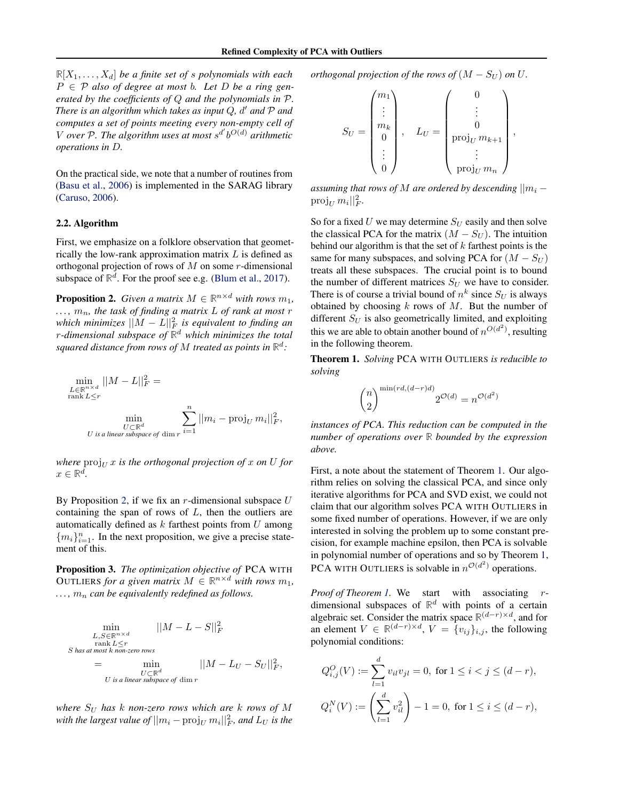<span id="page-3-0"></span> $\mathbb{R}[X_1, \ldots, X_d]$  *be a finite set of s polynomials with each* P ∈ P *also of degree at most* b*. Let* D *be a ring generated by the coefficients of* Q *and the polynomials in* P*. There is an algorithm which takes as input* Q*,* d <sup>0</sup> *and* P *and computes a set of points meeting every non-empty cell of* V over P. The algorithm uses at most  $s^{d'}b^{O(d)}$  arithmetic *operations in* D*.*

On the practical side, we note that a number of routines from [\(Basu et al.,](#page-7-0) [2006\)](#page-7-0) is implemented in the SARAG library [\(Caruso,](#page-8-0) [2006\)](#page-8-0).

#### 2.2. Algorithm

First, we emphasize on a folklore observation that geometrically the low-rank approximation matrix  $L$  is defined as orthogonal projection of rows of  $M$  on some  $r$ -dimensional subspace of  $\mathbb{R}^d$ . For the proof see e.g. [\(Blum et al.,](#page-7-0) [2017\)](#page-7-0).

**Proposition 2.** *Given a matrix*  $M \in \mathbb{R}^{n \times d}$  *with rows*  $m_1$ *,*  $..., m_n$ , the task of finding a matrix L of rank at most r *which minimizes* ||M − L||<sup>2</sup> F *is equivalent to finding an* r*-dimensional subspace of* **R** <sup>d</sup> *which minimizes the total* squared distance from rows of  $M$  treated as points in  $\mathbb{R}^d$ :

$$
\min_{\substack{L \in \mathbb{R}^{n \times d} \\ U \subset \mathbb{R}^d \\ U \text{ is a linear subspace of } \dim r}} ||M - L||_F^2 = \min_{\substack{U \subset \mathbb{R}^d \\ \text{with } U \subset \mathbb{R}^d \\ \text{ with } \dim V}} \sum_{i=1}^n ||m_i - \text{proj}_U m_i||_F^2,
$$

*where*  $proj_{U} x$  *is the orthogonal projection of* x *on* U *for*  $x \in \mathbb{R}^d$ .

By Proposition 2, if we fix an  $r$ -dimensional subspace  $U$ containing the span of rows of  $L$ , then the outliers are automatically defined as  $k$  farthest points from  $U$  among  ${m_i}_{i=1}^n$ . In the next proposition, we give a precise statement of this.

Proposition 3. *The optimization objective of* PCA WITH OUTLIERS *for a given matrix*  $M \in \mathbb{R}^{n \times d}$  *with rows*  $m_1$ *,*  $\dots$ ,  $m_n$  *can be equivalently redefined as follows.* 

$$
\min_{\substack{L,S \in \mathbb{R}^{n \times d} \\ \text{rank } L \le r \\ S \text{ has at most } k \text{ non-zero rows} \\ = \min_{\substack{U \subset \mathbb{R}^d \\ U \text{ is a linear subspace of } \dim r}} ||M - L_U - S_U||_F^2,
$$

*where*  $S_U$  *has* k *non-zero rows which are k rows of* M with the largest value of  $||m_i - \text{proj}_U m_i||_F^2$ , and  $L_U$  is the *orthogonal projection of the rows of*  $(M - S_U)$  *on* U.

$$
S_U = \begin{pmatrix} m_1 \\ \vdots \\ m_k \\ 0 \\ \vdots \\ 0 \end{pmatrix}, \quad L_U = \begin{pmatrix} 0 \\ \vdots \\ 0 \\ \text{proj}_U m_{k+1} \\ \vdots \\ \text{proj}_U m_n \end{pmatrix}
$$

,

*assuming that rows of* M are ordered by descending  $||m_i - m_i||$  $proj_U m_i ||_F^2$ .

So for a fixed  $U$  we may determine  $S_U$  easily and then solve the classical PCA for the matrix  $(M - S_U)$ . The intuition behind our algorithm is that the set of  $k$  farthest points is the same for many subspaces, and solving PCA for  $(M - S_U)$ treats all these subspaces. The crucial point is to bound the number of different matrices  $S_U$  we have to consider. There is of course a trivial bound of  $n^k$  since  $S_U$  is always obtained by choosing  $k$  rows of  $M$ . But the number of different  $S_U$  is also geometrically limited, and exploiting this we are able to obtain another bound of  $n^{O(d^2)}$ , resulting in the following theorem.

Theorem 1. *Solving* PCA WITH OUTLIERS *is reducible to solving*

$$
\binom{n}{2}^{\min(rd,(d-r)d)}2^{\mathcal{O}(d)}=n^{\mathcal{O}(d^2)}
$$

*instances of PCA. This reduction can be computed in the number of operations over* **R** *bounded by the expression above.*

First, a note about the statement of Theorem 1. Our algorithm relies on solving the classical PCA, and since only iterative algorithms for PCA and SVD exist, we could not claim that our algorithm solves PCA WITH OUTLIERS in some fixed number of operations. However, if we are only interested in solving the problem up to some constant precision, for example machine epsilon, then PCA is solvable in polynomial number of operations and so by Theorem 1, PCA WITH OUTLIERS is solvable in  $n^{\mathcal{O}(d^2)}$  operations.

*Proof of Theorem 1.* We start with associating rdimensional subspaces of  $\mathbb{R}^d$  with points of a certain algebraic set. Consider the matrix space  $\mathbb{R}^{(d-r)\times d}$ , and for an element  $V \in \mathbb{R}^{(d-r)\times d}$ ,  $V = \{v_{ij}\}_{i,j}$ , the following polynomial conditions:

$$
Q_{i,j}^O(V) := \sum_{l=1}^d v_{il}v_{jl} = 0, \text{ for } 1 \le i < j \le (d-r),
$$
  

$$
Q_i^N(V) := \left(\sum_{l=1}^d v_{il}^2\right) - 1 = 0, \text{ for } 1 \le i \le (d-r),
$$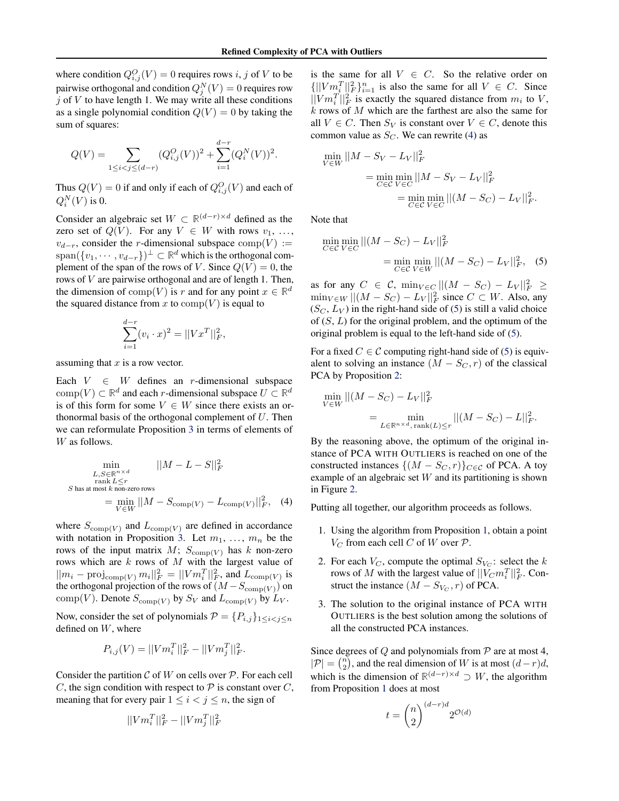where condition  $Q_{i,j}^O(V) = 0$  requires rows i, j of V to be pairwise orthogonal and condition  $Q_j^N(V) = 0$  requires row  $j$  of  $V$  to have length 1. We may write all these conditions as a single polynomial condition  $Q(V) = 0$  by taking the sum of squares:

$$
Q(V) = \sum_{1 \le i < j \le (d-r)} (Q_{i,j}^O(V))^2 + \sum_{i=1}^{d-r} (Q_i^N(V))^2.
$$

Thus  $Q(V) = 0$  if and only if each of  $Q_{i,j}^O(V)$  and each of  $Q_i^N(V)$  is 0.

Consider an algebraic set  $W \subset \mathbb{R}^{(d-r)\times d}$  defined as the zero set of  $Q(V)$ . For any  $V \in W$  with rows  $v_1, \ldots,$  $v_{d-r}$ , consider the r-dimensional subspace  $\text{comp}(V) :=$  $\text{span}(\{v_1, \dots, v_{d-r}\})^{\perp} \subset \mathbb{R}^d$  which is the orthogonal complement of the span of the rows of V. Since  $Q(V) = 0$ , the rows of V are pairwise orthogonal and are of length 1. Then, the dimension of  $\text{comp}(V)$  is r and for any point  $x \in \mathbb{R}^d$ the squared distance from x to  $\text{comp}(V)$  is equal to

$$
\sum_{i=1}^{d-r} (v_i \cdot x)^2 = ||Vx^T||_F^2,
$$

assuming that  $x$  is a row vector.

Each  $V \in W$  defines an r-dimensional subspace  $\text{comp}(V) \subset \mathbb{R}^d$  and each *r*-dimensional subspace  $U \subset \mathbb{R}^d$ is of this form for some  $V \in W$  since there exists an orthonormal basis of the orthogonal complement of  $U$ . Then we can reformulate Proposition [3](#page-3-0) in terms of elements of W as follows.

$$
\min_{\substack{L,S \in \mathbb{R}^{n \times d} \\ \text{rank } L \le r \\ S \text{ has at most } k \text{ non-zero rows}}} ||M - L - S||_F^2
$$
  

$$
S \text{ has at most } k \text{ non-zero rows}
$$
  

$$
= \min_{V \in W} ||M - S_{\text{comp}(V)} - L_{\text{comp}(V)}||_F^2, \quad (4)
$$

where  $S_{\text{comp}(V)}$  and  $L_{\text{comp}(V)}$  are defined in accordance with notation in Proposition [3.](#page-3-0) Let  $m_1, \ldots, m_n$  be the rows of the input matrix  $M$ ;  $S_{\text{comp}(V)}$  has k non-zero rows which are  $k$  rows of  $M$  with the largest value of  $||m_i - \text{proj}_{\text{comp}(V)} m_i||_F^2 = ||Vm_i^T||_F^2$ , and  $L_{\text{comp}(V)}$  is the orthogonal projection of the rows of  $(M - S_{\text{comp}(V)})$  on comp(V). Denote  $S_{\text{comp}(V)}$  by  $S_V$  and  $L_{\text{comp}(V)}$  by  $L_V$ .

Now, consider the set of polynomials  $\mathcal{P} = \{P_{i,j}\}_{1 \leq i \leq j \leq n}$ defined on W, where

$$
P_{i,j}(V) = ||Vm_i^T||_F^2 - ||Vm_j^T||_F^2.
$$

Consider the partition  $\mathcal C$  of W on cells over  $\mathcal P$ . For each cell C, the sign condition with respect to  $P$  is constant over C, meaning that for every pair  $1 \leq i < j \leq n$ , the sign of

$$
||Vm_i^T||_F^2 - ||Vm_j^T||_F^2
$$

is the same for all  $V \in C$ . So the relative order on  ${||} V m_i^T ||_F^2 \}_{i=1}^n$  is also the same for all  $V \in C$ . Since  $||Vm_i^T||_F^2$  is exactly the squared distance from  $m_i$  to V, k rows of M which are the farthest are also the same for all  $V \in C$ . Then  $S_V$  is constant over  $V \in C$ , denote this common value as  $S_C$ . We can rewrite (4) as

$$
\min_{V \in W} ||M - S_V - L_V||_F^2
$$
\n
$$
= \min_{C \in \mathcal{C}} \min_{V \in C} ||M - S_V - L_V||_F^2
$$
\n
$$
= \min_{C \in \mathcal{C}} \min_{V \in C} ||(M - S_C) - L_V||_F^2.
$$

Note that

$$
\min_{C \in \mathcal{C}} \min_{V \in C} ||(M - S_C) - L_V||_F^2
$$
  
= 
$$
\min_{C \in \mathcal{C}} \min_{V \in W} ||(M - S_C) - L_V||_F^2,
$$
 (5)

as for any  $C \in \mathcal{C}$ ,  $\min_{V \in C} ||(M - S_C) - L_V||_F^2 \ge$  $\min_{V \in W} ||(M - S_C) - L_V||_F^2$  since  $C \subset W$ . Also, any  $(S_C, L_V)$  in the right-hand side of (5) is still a valid choice of  $(S, L)$  for the original problem, and the optimum of the original problem is equal to the left-hand side of (5).

For a fixed  $C \in \mathcal{C}$  computing right-hand side of (5) is equivalent to solving an instance  $(M - S_C, r)$  of the classical PCA by Proposition [2:](#page-3-0)

$$
\min_{V \in W} ||(M - S_C) - L_V||_F^2
$$
  
= 
$$
\min_{L \in \mathbb{R}^{n \times d}, \text{rank}(L) \le r} ||(M - S_C) - L||_F^2.
$$

By the reasoning above, the optimum of the original instance of PCA WITH OUTLIERS is reached on one of the constructed instances  $\{(M - S_C, r)\}_{C \in \mathcal{C}}$  of PCA. A toy example of an algebraic set  $W$  and its partitioning is shown in Figure [2.](#page-5-0)

Putting all together, our algorithm proceeds as follows.

- 1. Using the algorithm from Proposition [1,](#page-2-0) obtain a point  $V_C$  from each cell C of W over  $P$ .
- 2. For each  $V_C$ , compute the optimal  $S_{V_C}$ : select the k rows of M with the largest value of  $||V_Cm_i^T||_F^2$ . Construct the instance  $(M - S_{V_C}, r)$  of PCA.
- 3. The solution to the original instance of PCA WITH OUTLIERS is the best solution among the solutions of all the constructed PCA instances.

Since degrees of  $Q$  and polynomials from  $P$  are at most 4,  $|\mathcal{P}| = \binom{n}{2}$ , and the real dimension of W is at most  $(d-r)d$ , which is the dimension of  $\mathbb{R}^{(d-r)\times d} \supset W$ , the algorithm from Proposition [1](#page-2-0) does at most

$$
t = \binom{n}{2}^{(d-r)d} 2^{\mathcal{O}(d)}
$$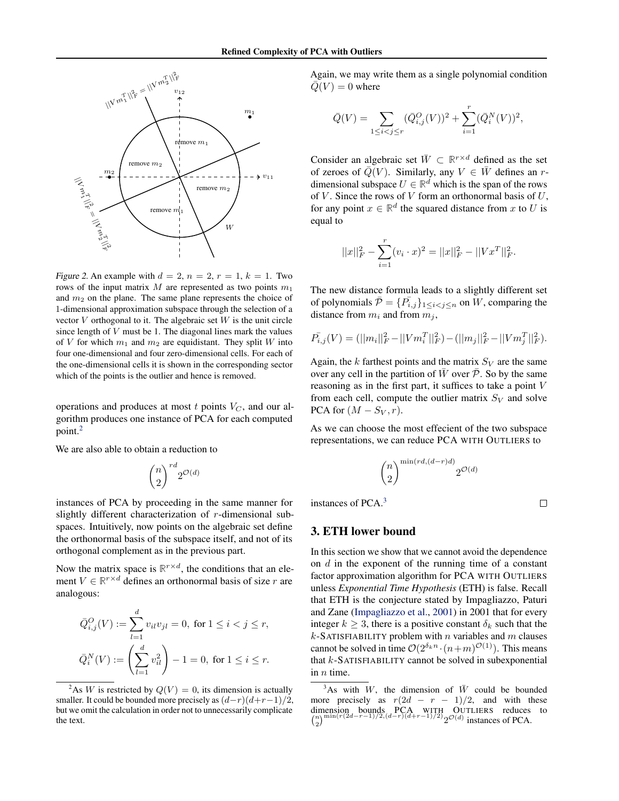<span id="page-5-0"></span>

Figure 2. An example with  $d = 2$ ,  $n = 2$ ,  $r = 1$ ,  $k = 1$ . Two rows of the input matrix  $M$  are represented as two points  $m_1$ and  $m_2$  on the plane. The same plane represents the choice of 1-dimensional approximation subspace through the selection of a vector  $V$  orthogonal to it. The algebraic set  $W$  is the unit circle since length of  $V$  must be 1. The diagonal lines mark the values of V for which  $m_1$  and  $m_2$  are equidistant. They split W into four one-dimensional and four zero-dimensional cells. For each of the one-dimensional cells it is shown in the corresponding sector which of the points is the outlier and hence is removed.

operations and produces at most  $t$  points  $V_C$ , and our algorithm produces one instance of PCA for each computed point.<sup>2</sup>

We are also able to obtain a reduction to

$$
\binom{n}{2}^{rd} 2^{{\mathcal{O}}(d)}
$$

instances of PCA by proceeding in the same manner for slightly different characterization of r-dimensional subspaces. Intuitively, now points on the algebraic set define the orthonormal basis of the subspace itself, and not of its orthogonal complement as in the previous part.

Now the matrix space is  $\mathbb{R}^{r \times d}$ , the conditions that an element  $V \in \mathbb{R}^{r \times d}$  defines an orthonormal basis of size r are analogous:

$$
\bar{Q}_{i,j}^O(V) := \sum_{l=1}^d v_{il}v_{jl} = 0, \text{ for } 1 \le i < j \le r,
$$
  

$$
\bar{Q}_i^N(V) := \left(\sum_{l=1}^d v_{il}^2\right) - 1 = 0, \text{ for } 1 \le i \le r.
$$

Again, we may write them as a single polynomial condition  $Q(V) = 0$  where

$$
\bar{Q}(V) = \sum_{1 \le i < j \le r} (\bar{Q}_{i,j}^O(V))^2 + \sum_{i=1}^r (\bar{Q}_i^N(V))^2,
$$

Consider an algebraic set  $\overline{W} \subset \mathbb{R}^{r \times d}$  defined as the set of zeroes of  $\overline{Q}(V)$ . Similarly, any  $V \in \overline{W}$  defines an rdimensional subspace  $U \in \mathbb{R}^d$  which is the span of the rows of  $V$ . Since the rows of  $V$  form an orthonormal basis of  $U$ , for any point  $x \in \mathbb{R}^d$  the squared distance from x to U is equal to

$$
||x||_F^2 - \sum_{i=1}^r (v_i \cdot x)^2 = ||x||_F^2 - ||Vx^T||_F^2.
$$

The new distance formula leads to a slightly different set of polynomials  $\bar{\mathcal{P}} = \{P_{i,j}\}_{1 \leq i < j \leq n}$  on W, comparing the distance from  $m_i$  and from  $m_j$ ,

$$
\overline{P}_{i,j}(V) = (||m_i||_F^2 - ||Vm_i^T||_F^2) - (||m_j||_F^2 - ||Vm_j^T||_F^2).
$$

Again, the  $k$  farthest points and the matrix  $S_V$  are the same over any cell in the partition of  $\bar{W}$  over  $\bar{\mathcal{P}}$ . So by the same reasoning as in the first part, it suffices to take a point V from each cell, compute the outlier matrix  $S_V$  and solve PCA for  $(M - S_V, r)$ .

As we can choose the most effecient of the two subspace representations, we can reduce PCA WITH OUTLIERS to

$$
\binom{n}{2}^{\min\left( rd,(d-r)d\right)}2^{\mathcal{O}(d)}
$$

instances of PCA.<sup>3</sup>

 $\Box$ 

## 3. ETH lower bound

In this section we show that we cannot avoid the dependence on  $d$  in the exponent of the running time of a constant factor approximation algorithm for PCA WITH OUTLIERS unless *Exponential Time Hypothesis* (ETH) is false. Recall that ETH is the conjecture stated by Impagliazzo, Paturi and Zane [\(Impagliazzo et al.,](#page-8-0) [2001\)](#page-8-0) in 2001 that for every integer  $k > 3$ , there is a positive constant  $\delta_k$  such that the  $k$ -SATISFIABILITY problem with  $n$  variables and  $m$  clauses cannot be solved in time  $\mathcal{O}(2^{\delta_k n} \cdot (n+m)^{\mathcal{O}(1)})$ . This means that  $k$ -SATISFIABILITY cannot be solved in subexponential in  $n$  time.

<sup>&</sup>lt;sup>2</sup>As W is restricted by  $Q(V) = 0$ , its dimension is actually smaller. It could be bounded more precisely as  $(d-r)(d+r-1)/2$ , but we omit the calculation in order not to unnecessarily complicate the text.

 $3$ As with W, the dimension of  $\overline{W}$  could be bounded more precisely as  $r(2d - r - 1)/2$ , and with these dimension bounds PCA WITH OUTLIERS reduces to  $\binom{n}{2}^{\min(r(2d-r-1)/2,(d-r)(d+r-1)/2)} 2^{\mathcal{O}(d)}$  instances of PCA.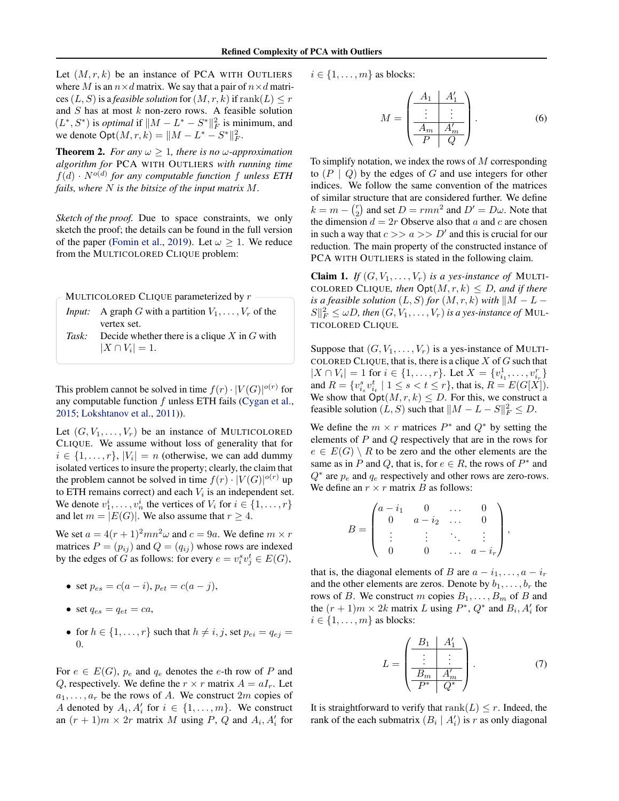<span id="page-6-0"></span>Let  $(M, r, k)$  be an instance of PCA WITH OUTLIERS where M is an  $n \times d$  matrix. We say that a pair of  $n \times d$  matrices  $(L, S)$  is a *feasible solution* for  $(M, r, k)$  if  $\text{rank}(L) \leq r$ and  $S$  has at most  $k$  non-zero rows. A feasible solution  $(L^*, S^*)$  is *optimal* if  $\|M - L^* - S^*\|_F^2$  is minimum, and we denote  $\text{Opt}(M, r, k) = ||M - L^* - S^*||_F^2$ .

**Theorem 2.** *For any*  $\omega \geq 1$ *, there is no*  $\omega$ *-approximation algorithm for* PCA WITH OUTLIERS *with running time*  $f(d) \cdot N^{o(d)}$  for any computable function f unless ETH *fails, where* N *is the bitsize of the input matrix* M*.*

*Sketch of the proof.* Due to space constraints, we only sketch the proof; the details can be found in the full version of the paper [\(Fomin et al.,](#page-8-0) [2019\)](#page-8-0). Let  $\omega \geq 1$ . We reduce from the MULTICOLORED CLIQUE problem:

| - MULTICOLORED CLIQUE parameterized by $r$ |                                                                                   |  |
|--------------------------------------------|-----------------------------------------------------------------------------------|--|
|                                            | <i>Input:</i> A graph G with a partition $V_1, \ldots, V_r$ of the<br>vertex set. |  |

*Task:* Decide whether there is a clique X in G with  $|X \cap V_i| = 1.$ 

This problem cannot be solved in time  $f(r) \cdot |V(G)|^{o(r)}$  for any computable function  $f$  unless ETH fails [\(Cygan et al.,](#page-8-0) [2015;](#page-8-0) [Lokshtanov et al.,](#page-8-0) [2011\)](#page-8-0)).

Let  $(G, V_1, \ldots, V_r)$  be an instance of MULTICOLORED CLIQUE. We assume without loss of generality that for  $i \in \{1, \ldots, r\}, |V_i| = n$  (otherwise, we can add dummy isolated vertices to insure the property; clearly, the claim that the problem cannot be solved in time  $f(r) \cdot |V(G)|^{o(r)}$  up to ETH remains correct) and each  $V_i$  is an independent set. We denote  $v_1^i, \ldots, v_n^i$  the vertices of  $V_i$  for  $i \in \{1, \ldots, r\}$ and let  $m = |E(G)|$ . We also assume that  $r \geq 4$ .

We set  $a = 4(r + 1)^2 m n^2 \omega$  and  $c = 9a$ . We define  $m \times r$ matrices  $P = (p_{ij})$  and  $Q = (q_{ij})$  whose rows are indexed by the edges of G as follows: for every  $e = v_i^s v_j^t \in E(G)$ ,

- set  $p_{es} = c(a i), p_{et} = c(a j),$
- set  $q_{es} = q_{et} = ca$ ,
- for  $h \in \{1, \ldots, r\}$  such that  $h \neq i, j$ , set  $p_{ei} = q_{ei} =$ 0.

For  $e \in E(G)$ ,  $p_e$  and  $q_e$  denotes the e-th row of P and Q, respectively. We define the  $r \times r$  matrix  $A = aI_r$ . Let  $a_1, \ldots, a_r$  be the rows of A. We construct  $2m$  copies of A denoted by  $A_i, A'_i$  for  $i \in \{1, ..., m\}$ . We construct an  $(r + 1)m \times 2r$  matrix M using P, Q and  $A_i$ ,  $A'_i$  for

 $i \in \{1, \ldots, m\}$  as blocks:

$$
M = \begin{pmatrix} A_1 & A'_1 \\ \vdots & \vdots \\ \frac{A_m & A'_m}{P & Q} \end{pmatrix} .
$$
 (6)

To simplify notation, we index the rows of  $M$  corresponding to  $(P | Q)$  by the edges of G and use integers for other indices. We follow the same convention of the matrices of similar structure that are considered further. We define  $k = m - {r \choose 2}$  and set  $D = r m n^2$  and  $D' = D \omega$ . Note that the dimension  $d = 2r$  Observe also that a and c are chosen in such a way that  $c \gg a \gg D'$  and this is crucial for our reduction. The main property of the constructed instance of PCA WITH OUTLIERS is stated in the following claim.

**Claim 1.** *If*  $(G, V_1, \ldots, V_r)$  *is a yes-instance of* MULTI-COLORED CLIQUE, then  $\text{Opt}(M, r, k) \leq D$ , and if there *is a feasible solution*  $(L, S)$  *for*  $(M, r, k)$  *with*  $\|M - L \|S\|_F^2 \leq \omega D$ , then  $(G, V_1, \ldots, V_r)$  is a yes-instance of MUL-TICOLORED CLIQUE*.*

Suppose that  $(G, V_1, \ldots, V_r)$  is a yes-instance of MULTI-COLORED CLIQUE, that is, there is a clique  $X$  of  $G$  such that  $|X \cap V_i| = 1$  for  $i \in \{1, ..., r\}$ . Let  $X = \{v_{i_1}^1, ..., v_{i_r}^r\}$ and  $R = \{v_{i_s}^s v_{i_t}^t \mid 1 \le s < t \le r\}$ , that is,  $R = E(G[X])$ . We show that  $\text{Opt}(M, r, k) \leq D$ . For this, we construct a feasible solution  $(L, S)$  such that  $||M - L - S||_F^2 \le D$ .

We define the  $m \times r$  matrices  $P^*$  and  $Q^*$  by setting the elements of P and Q respectively that are in the rows for  $e \in E(G) \setminus R$  to be zero and the other elements are the same as in P and Q, that is, for  $e \in R$ , the rows of  $P^*$  and  $Q^*$  are  $p_e$  and  $q_e$  respectively and other rows are zero-rows. We define an  $r \times r$  matrix B as follows:

$$
B = \begin{pmatrix} a - i_1 & 0 & \dots & 0 \\ 0 & a - i_2 & \dots & 0 \\ \vdots & \vdots & \ddots & \vdots \\ 0 & 0 & \dots & a - i_r \end{pmatrix},
$$

that is, the diagonal elements of B are  $a - i_1, \ldots, a - i_r$ and the other elements are zeros. Denote by  $b_1, \ldots, b_r$  the rows of B. We construct m copies  $B_1, \ldots, B_m$  of B and the  $(r + 1)m \times 2k$  matrix L using  $P^*$ ,  $Q^*$  and  $B_i$ ,  $A'_i$  for  $i \in \{1, \ldots, m\}$  as blocks:

$$
L = \begin{pmatrix} B_1 & A'_1 \\ \vdots & \vdots \\ \frac{B_m & A'_m}{P^* & Q^*} \end{pmatrix} . \tag{7}
$$

It is straightforward to verify that rank( $L$ )  $\leq r$ . Indeed, the rank of the each submatrix  $(B_i | A'_i)$  is r as only diagonal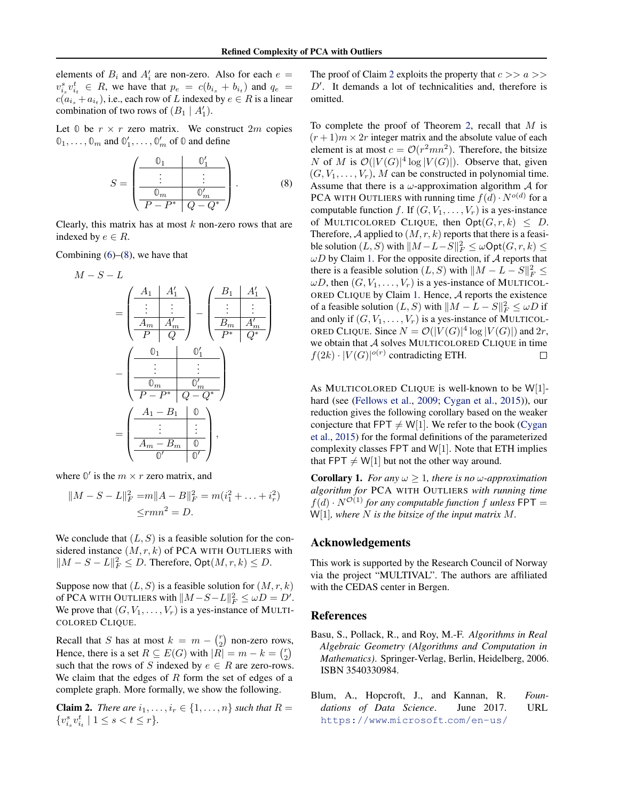<span id="page-7-0"></span>elements of  $B_i$  and  $A'_i$  are non-zero. Also for each  $e =$  $v_{i_s}^s v_{i_t}^t$   $\in$  R, we have that  $p_e = c(b_{i_s} + b_{i_t})$  and  $q_e$  =  $c(a_{i_s} + a_{i_t})$ , i.e., each row of L indexed by  $e \in R$  is a linear combination of two rows of  $(B_1 | A'_1)$ .

Let  $\mathbb{O}$  be  $r \times r$  zero matrix. We construct  $2m$  copies  $\mathbb{0}_1, \ldots, \mathbb{0}_m$  and  $\mathbb{0}'_1, \ldots, \mathbb{0}'_m$  of  $\mathbb{0}$  and define

$$
S = \left(\begin{array}{c|c} \mathbb{0}_1 & \mathbb{0}'_1 \\ \hline \vdots & \vdots \\ \hline \mathbb{0}_m & \mathbb{0}'_m \\ \hline P - P^* & Q - Q^* \end{array}\right). \tag{8}
$$

Clearly, this matrix has at most  $k$  non-zero rows that are indexed by  $e \in R$ .

Combining  $(6)$ – $(8)$ , we have that

$$
M - S - L
$$
\n
$$
= \left( \begin{array}{c|c} A_1 & A'_1 \\ \hline \vdots & \vdots \\ \hline A_m & A'_m \\ \hline P & Q \end{array} \right) - \left( \begin{array}{c|c} B_1 & A'_1 \\ \hline \vdots & \vdots \\ \hline B_m & A'_m \\ \hline P^* & Q^* \end{array} \right)
$$
\n
$$
- \left( \begin{array}{c|c} 0_1 & 0'_1 \\ \hline \vdots & \vdots \\ \hline 0_m & 0'_m \\ \hline P - P^* & Q - Q^* \end{array} \right)
$$
\n
$$
= \left( \begin{array}{c|c} A_1 - B_1 & 0 \\ \hline \vdots & \vdots \\ \hline A_m - B_m & 0 \\ \hline 0' & 0' \end{array} \right),
$$

where  $\mathbb{O}'$  is the  $m \times r$  zero matrix, and

$$
||M - S - L||_F^2 = m||A - B||_F^2 = m(i_1^2 + \dots + i_r^2)
$$
  

$$
\leq rmn^2 = D.
$$

We conclude that  $(L, S)$  is a feasible solution for the considered instance  $(M, r, k)$  of PCA WITH OUTLIERS with  $||M - S - L||_F^2 \le D$ . Therefore,  $\text{Opt}(M, r, k) \le D$ .

Suppose now that  $(L, S)$  is a feasible solution for  $(M, r, k)$ of PCA WITH OUTLIERS with  $||M - S - L||_F^2 \le \omega D = D'.$ We prove that  $(G, V_1, \ldots, V_r)$  is a yes-instance of MULTI-COLORED CLIQUE.

Recall that S has at most  $k = m - {r \choose 2}$  non-zero rows, Hence, there is a set  $R \subseteq E(G)$  with  $|R| = m - k = {r \choose 2}$ such that the rows of S indexed by  $e \in R$  are zero-rows. We claim that the edges of  $R$  form the set of edges of a complete graph. More formally, we show the following.

**Claim 2.** *There are*  $i_1, \ldots, i_r \in \{1, \ldots, n\}$  *such that*  $R =$  $\{v_{i_s}^s v_{i_t}^t \mid 1 \leq s < t \leq r\}.$ 

The proof of Claim 2 exploits the property that  $c \gg a \gg$  $D'$ . It demands a lot of technicalities and, therefore is omitted.

To complete the proof of Theorem [2,](#page-6-0) recall that  $M$  is  $(r+1)m \times 2r$  integer matrix and the absolute value of each element is at most  $c = \mathcal{O}(r^2mn^2)$ . Therefore, the bitsize N of M is  $\mathcal{O}(|V(G)|^4 \log |V(G)|)$ . Observe that, given  $(G, V_1, \ldots, V_r)$ , M can be constructed in polynomial time. Assume that there is a  $\omega$ -approximation algorithm  $\mathcal A$  for PCA WITH OUTLIERS with running time  $f(d) \cdot N^{o(d)}$  for a computable function f. If  $(G, V_1, \ldots, V_r)$  is a yes-instance of MULTICOLORED CLIQUE, then  $\text{Opt}(G, r, k) \leq D$ . Therefore,  $A$  applied to  $(M, r, k)$  reports that there is a feasible solution  $(L, S)$  with  $||M - L - S||_F^2 \leq \omega \text{Opt}(G, r, k) \leq$  $\omega D$  by Claim [1.](#page-6-0) For the opposite direction, if A reports that there is a feasible solution  $(L, S)$  with  $||M - L - S||_F^2 \le$  $\omega D$ , then  $(G, V_1, \ldots, V_r)$  is a yes-instance of MULTICOL-ORED CLIQUE by Claim [1.](#page-6-0) Hence, A reports the existence of a feasible solution  $(L, S)$  with  $||M - L - S||_F^2 \leq \omega D$  if and only if  $(G, V_1, \ldots, V_r)$  is a yes-instance of MULTICOL-ORED CLIQUE. Since  $N = \mathcal{O}(|V(G)|^4 \log |V(G)|)$  and  $2r$ , we obtain that  $A$  solves MULTICOLORED CLIQUE in time  $f(2k) \cdot |V(G)|^{o(r)}$  contradicting ETH.  $\Box$ 

As MULTICOLORED CLIQUE is well-known to be W[1] hard (see [\(Fellows et al.,](#page-8-0) [2009;](#page-8-0) [Cygan et al.,](#page-8-0) [2015\)](#page-8-0)), our reduction gives the following corollary based on the weaker conjecture that FPT  $\neq$  W[1]. We refer to the book [\(Cygan](#page-8-0) [et al.,](#page-8-0) [2015\)](#page-8-0) for the formal definitions of the parameterized complexity classes FPT and W[1]. Note that ETH implies that FPT  $\neq$  W[1] but not the other way around.

**Corollary 1.** *For any*  $\omega \geq 1$ *, there is no*  $\omega$ *-approximation algorithm for* PCA WITH OUTLIERS *with running time*  $f(d) \cdot N^{\mathcal{O}(1)}$  *for any computable function f unless* FPT = W[1]*, where* N *is the bitsize of the input matrix* M*.*

#### Acknowledgements

This work is supported by the Research Council of Norway via the project "MULTIVAL". The authors are affiliated with the CEDAS center in Bergen.

#### References

- Basu, S., Pollack, R., and Roy, M.-F. *Algorithms in Real Algebraic Geometry (Algorithms and Computation in Mathematics)*. Springer-Verlag, Berlin, Heidelberg, 2006. ISBN 3540330984.
- Blum, A., Hopcroft, J., and Kannan, R. *Foundations of Data Science*. June 2017. URL [https://www](https://www.microsoft.com/en-us/research/publication/foundations-of-data-science-2/).microsoft.com/en-us/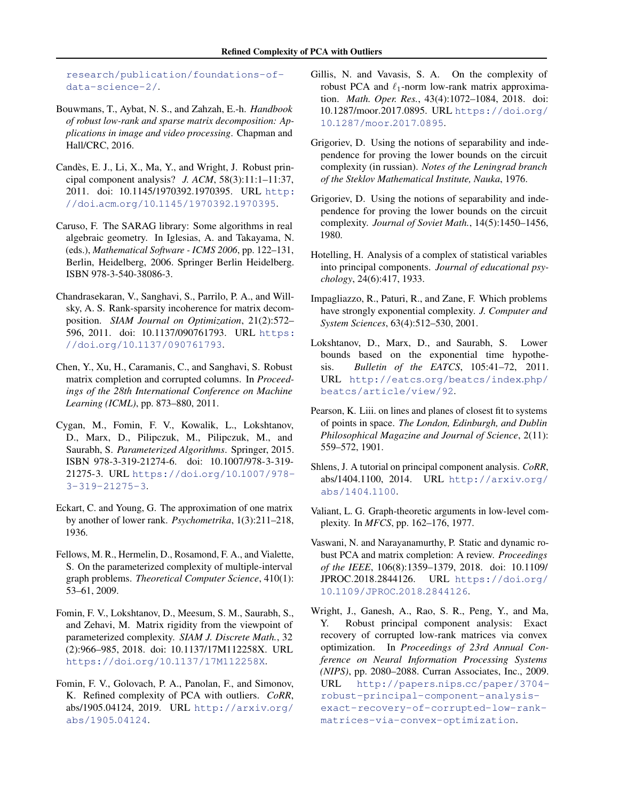<span id="page-8-0"></span>[research/publication/foundations-of](https://www.microsoft.com/en-us/research/publication/foundations-of-data-science-2/)[data-science-2/](https://www.microsoft.com/en-us/research/publication/foundations-of-data-science-2/).

- Bouwmans, T., Aybat, N. S., and Zahzah, E.-h. *Handbook of robust low-rank and sparse matrix decomposition: Applications in image and video processing*. Chapman and Hall/CRC, 2016.
- Candès, E. J., Li, X., Ma, Y., and Wright, J. Robust principal component analysis? *J. ACM*, 58(3):11:1–11:37, 2011. doi: 10.1145/1970392.1970395. URL [http:](http://doi.acm.org/10.1145/1970392.1970395) //doi.acm.org/10.[1145/1970392](http://doi.acm.org/10.1145/1970392.1970395).1970395.
- Caruso, F. The SARAG library: Some algorithms in real algebraic geometry. In Iglesias, A. and Takayama, N. (eds.), *Mathematical Software - ICMS 2006*, pp. 122–131, Berlin, Heidelberg, 2006. Springer Berlin Heidelberg. ISBN 978-3-540-38086-3.
- Chandrasekaran, V., Sanghavi, S., Parrilo, P. A., and Willsky, A. S. Rank-sparsity incoherence for matrix decomposition. *SIAM Journal on Optimization*, 21(2):572– 596, 2011. doi: 10.1137/090761793. URL [https:](https://doi.org/10.1137/090761793) //doi.org/10.[1137/090761793](https://doi.org/10.1137/090761793).
- Chen, Y., Xu, H., Caramanis, C., and Sanghavi, S. Robust matrix completion and corrupted columns. In *Proceedings of the 28th International Conference on Machine Learning (ICML)*, pp. 873–880, 2011.
- Cygan, M., Fomin, F. V., Kowalik, L., Lokshtanov, D., Marx, D., Pilipczuk, M., Pilipczuk, M., and Saurabh, S. *Parameterized Algorithms*. Springer, 2015. ISBN 978-3-319-21274-6. doi: 10.1007/978-3-319- 21275-3. URL [https://doi](https://doi.org/10.1007/978-3-319-21275-3).org/10.1007/978- [3-319-21275-3](https://doi.org/10.1007/978-3-319-21275-3).
- Eckart, C. and Young, G. The approximation of one matrix by another of lower rank. *Psychometrika*, 1(3):211–218, 1936.
- Fellows, M. R., Hermelin, D., Rosamond, F. A., and Vialette, S. On the parameterized complexity of multiple-interval graph problems. *Theoretical Computer Science*, 410(1): 53–61, 2009.
- Fomin, F. V., Lokshtanov, D., Meesum, S. M., Saurabh, S., and Zehavi, M. Matrix rigidity from the viewpoint of parameterized complexity. *SIAM J. Discrete Math.*, 32 (2):966–985, 2018. doi: 10.1137/17M112258X. URL https://doi.org/10.[1137/17M112258X](https://doi.org/10.1137/17M112258X).
- Fomin, F. V., Golovach, P. A., Panolan, F., and Simonov, K. Refined complexity of PCA with outliers. *CoRR*, abs/1905.04124, 2019. URL [http://arxiv](http://arxiv.org/abs/1905.04124).org/ [abs/1905](http://arxiv.org/abs/1905.04124).04124.
- Gillis, N. and Vavasis, S. A. On the complexity of robust PCA and  $\ell_1$ -norm low-rank matrix approximation. *Math. Oper. Res.*, 43(4):1072–1084, 2018. doi: 10.1287/moor.2017.0895. URL [https://doi](https://doi.org/10.1287/moor.2017.0895).org/ 10.[1287/moor](https://doi.org/10.1287/moor.2017.0895).2017.0895.
- Grigoriev, D. Using the notions of separability and independence for proving the lower bounds on the circuit complexity (in russian). *Notes of the Leningrad branch of the Steklov Mathematical Institute, Nauka*, 1976.
- Grigoriev, D. Using the notions of separability and independence for proving the lower bounds on the circuit complexity. *Journal of Soviet Math.*, 14(5):1450–1456, 1980.
- Hotelling, H. Analysis of a complex of statistical variables into principal components. *Journal of educational psychology*, 24(6):417, 1933.
- Impagliazzo, R., Paturi, R., and Zane, F. Which problems have strongly exponential complexity. *J. Computer and System Sciences*, 63(4):512–530, 2001.
- Lokshtanov, D., Marx, D., and Saurabh, S. Lower bounds based on the exponential time hypothesis. *Bulletin of the EATCS*, 105:41–72, 2011. URL http://eatcs.[org/beatcs/index](http://eatcs.org/beatcs/index.php/beatcs/article/view/92).php/ [beatcs/article/view/92](http://eatcs.org/beatcs/index.php/beatcs/article/view/92).
- Pearson, K. Liii. on lines and planes of closest fit to systems of points in space. *The London, Edinburgh, and Dublin Philosophical Magazine and Journal of Science*, 2(11): 559–572, 1901.
- Shlens, J. A tutorial on principal component analysis. *CoRR*, abs/1404.1100, 2014. URL [http://arxiv](http://arxiv.org/abs/1404.1100).org/ [abs/1404](http://arxiv.org/abs/1404.1100).1100.
- Valiant, L. G. Graph-theoretic arguments in low-level complexity. In *MFCS*, pp. 162–176, 1977.
- Vaswani, N. and Narayanamurthy, P. Static and dynamic robust PCA and matrix completion: A review. *Proceedings of the IEEE*, 106(8):1359–1379, 2018. doi: 10.1109/ JPROC.2018.2844126. URL [https://doi](https://doi.org/10.1109/JPROC.2018.2844126).org/ 10.[1109/JPROC](https://doi.org/10.1109/JPROC.2018.2844126).2018.2844126.
- Wright, J., Ganesh, A., Rao, S. R., Peng, Y., and Ma, Y. Robust principal component analysis: Exact recovery of corrupted low-rank matrices via convex optimization. In *Proceedings of 23rd Annual Conference on Neural Information Processing Systems (NIPS)*, pp. 2080–2088. Curran Associates, Inc., 2009. URL http://papers.nips.[cc/paper/3704](http://papers.nips.cc/paper/3704-robust-principal-component-analysis-exact-recovery-of-corrupted-low-rank-matrices-via-convex-optimization) [robust-principal-component-analysis](http://papers.nips.cc/paper/3704-robust-principal-component-analysis-exact-recovery-of-corrupted-low-rank-matrices-via-convex-optimization)[exact-recovery-of-corrupted-low-rank](http://papers.nips.cc/paper/3704-robust-principal-component-analysis-exact-recovery-of-corrupted-low-rank-matrices-via-convex-optimization)[matrices-via-convex-optimization](http://papers.nips.cc/paper/3704-robust-principal-component-analysis-exact-recovery-of-corrupted-low-rank-matrices-via-convex-optimization).